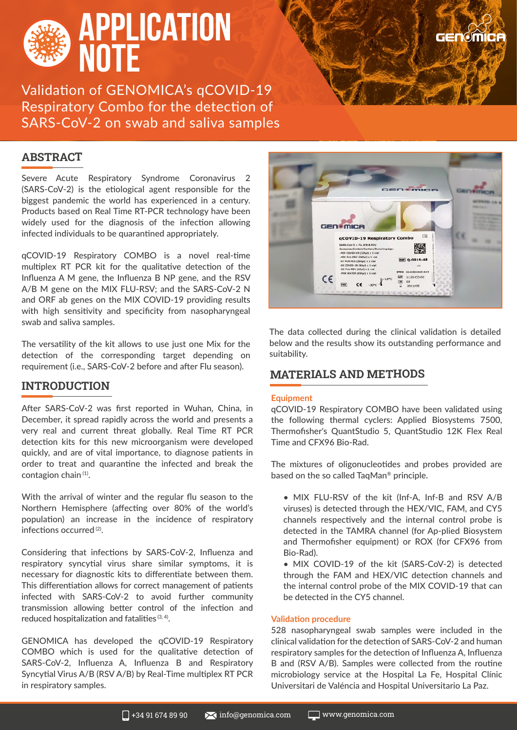

Validation of GENOMICA's qCOVID-19 Respiratory Combo for the detection of SARS-CoV-2 on swab and saliva samples

# **ABSTRACT**

Severe Acute Respiratory Syndrome Coronavirus 2 (SARS-CoV-2) is the etiological agent responsible for the biggest pandemic the world has experienced in a century. Products based on Real Time RT-PCR technology have been widely used for the diagnosis of the infection allowing infected individuals to be quarantined appropriately.

qCOVID-19 Respiratory COMBO is a novel real-time multiplex RT PCR kit for the qualitative detection of the Influenza A M gene, the Influenza B NP gene, and the RSV A/B M gene on the MIX FLU-RSV; and the SARS-CoV-2 N and ORF ab genes on the MIX COVID-19 providing results with high sensitivity and specificity from nasopharyngeal swab and saliva samples.

The versatility of the kit allows to use just one Mix for the detection of the corresponding target depending on requirement (i.e., SARS-CoV-2 before and after Flu season).

## **INTRODUCTION**

After SARS-CoV-2 was first reported in Wuhan, China, in December, it spread rapidly across the world and presents a very real and current threat globally. Real Time RT PCR detection kits for this new microorganism were developed quickly, and are of vital importance, to diagnose patients in order to treat and quarantine the infected and break the contagion chain (1).

With the arrival of winter and the regular flu season to the Northern Hemisphere (affecting over 80% of the world's population) an increase in the incidence of respiratory infections occurred (2).

Considering that infections by SARS-CoV-2, Influenza and respiratory syncytial virus share similar symptoms, it is necessary for diagnostic kits to differentiate between them. This differentiation allows for correct management of patients infected with SARS-CoV-2 to avoid further community transmission allowing better control of the infection and reduced hospitalization and fatalities (3, 4).

GENOMICA has developed the qCOVID-19 Respiratory COMBO which is used for the qualitative detection of SARS-CoV-2, Influenza A, Influenza B and Respiratory Syncytial Virus A/B (RSV A/B) by Real-Time multiplex RT PCR in respiratory samples.



**GENOMICA** 

The data collected during the clinical validation is detailed below and the results show its outstanding performance and suitability.

## **MATERIALS AND METHODS**

#### **Equipment**

qCOVID-19 Respiratory COMBO have been validated using the following thermal cyclers: Applied Biosystems 7500, Thermofisher's QuantStudio 5, QuantStudio 12K Flex Real Time and CFX96 Bio-Rad.

The mixtures of oligonucleotides and probes provided are based on the so called TaqMan® principle.

- MIX FLU-RSV of the kit (Inf-A, Inf-B and RSV A/B viruses) is detected through the HEX/VIC, FAM, and CY5 channels respectively and the internal control probe is detected in the TAMRA channel (for Ap-plied Biosystem and Thermofisher equipment) or ROX (for CFX96 from Bio-Rad).
- MIX COVID-19 of the kit (SARS-CoV-2) is detected through the FAM and HEX/VIC detection channels and the internal control probe of the MIX COVID-19 that can be detected in the CY5 channel.

#### **Validation procedure**

528 nasopharyngeal swab samples were included in the clinical validation for the detection of SARS-CoV-2 and human respiratory samples for the detection of Influenza A, Influenza B and (RSV A/B). Samples were collected from the routine microbiology service at the Hospital La Fe, Hospital Clínic Universitari de Valéncia and Hospital Universitario La Paz.